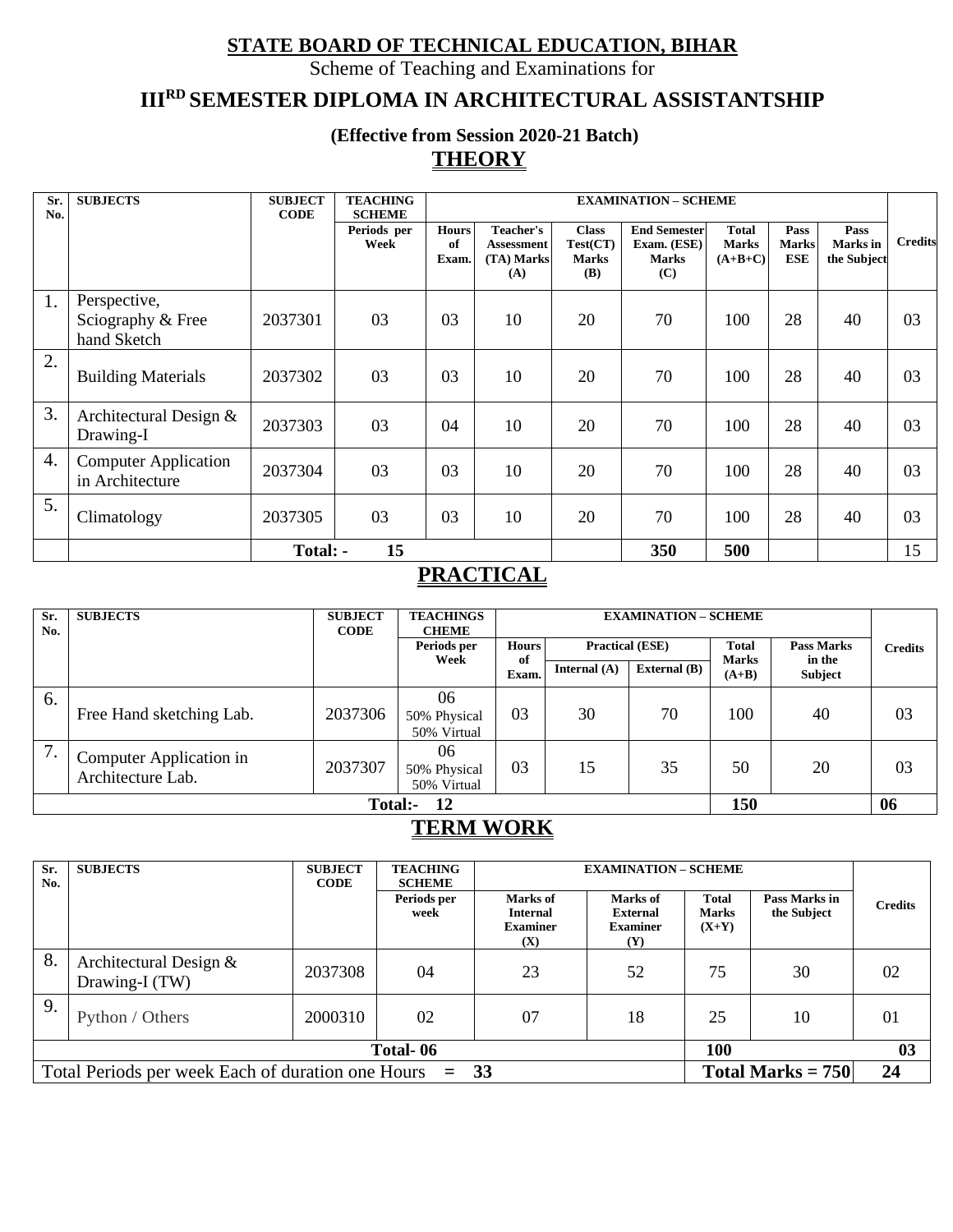### **STATE BOARD OF TECHNICAL EDUCATION, BIHAR**

Scheme of Teaching and Examinations for

# **IIIRD SEMESTER DIPLOMA IN ARCHITECTURAL ASSISTANTSHIP**

**(Effective from Session 2020-21 Batch) THEORY**

| Sr.<br>No.       | <b>SUBJECTS</b>                                  | <b>SUBJECT</b><br><b>CODE</b> | <b>TEACHING</b><br><b>SCHEME</b> |                             |                                                     |                                                        | <b>EXAMINATION - SCHEME</b>                               |                                           |                                    |                                 |                |
|------------------|--------------------------------------------------|-------------------------------|----------------------------------|-----------------------------|-----------------------------------------------------|--------------------------------------------------------|-----------------------------------------------------------|-------------------------------------------|------------------------------------|---------------------------------|----------------|
|                  |                                                  |                               | Periods per<br>Week              | <b>Hours</b><br>of<br>Exam. | Teacher's<br><b>Assessment</b><br>(TA) Marks<br>(A) | <b>Class</b><br>Test(CT)<br><b>Marks</b><br><b>(B)</b> | <b>End Semester</b><br>Exam. (ESE)<br><b>Marks</b><br>(C) | <b>Total</b><br><b>Marks</b><br>$(A+B+C)$ | Pass<br><b>Marks</b><br><b>ESE</b> | Pass<br>Marks in<br>the Subject | <b>Credits</b> |
| 1.               | Perspective,<br>Sciography & Free<br>hand Sketch | 2037301                       | 03                               | 03                          | 10                                                  | 20                                                     | 70                                                        | 100                                       | 28                                 | 40                              | 03             |
| 2.               | <b>Building Materials</b>                        | 2037302                       | 03                               | 03                          | 10                                                  | 20                                                     | 70                                                        | 100                                       | 28                                 | 40                              | 03             |
| 3.               | Architectural Design &<br>Drawing-I              | 2037303                       | 03                               | 04                          | 10                                                  | 20                                                     | 70                                                        | 100                                       | 28                                 | 40                              | 03             |
| $\overline{4}$ . | <b>Computer Application</b><br>in Architecture   | 2037304                       | 03                               | 03                          | 10                                                  | 20                                                     | 70                                                        | 100                                       | 28                                 | 40                              | 03             |
| 5.               | Climatology                                      | 2037305                       | 03                               | 03                          | 10                                                  | 20                                                     | 70                                                        | 100                                       | 28                                 | 40                              | 03             |
|                  |                                                  | Total: -                      | 15                               |                             |                                                     |                                                        | 350                                                       | 500                                       |                                    |                                 | 15             |

### **PRACTICAL**

| Sr.<br>No.                 | <b>SUBJECTS</b>                              | <b>SUBJECT</b><br><b>CODE</b> | <b>TEACHINGS</b><br><b>CHEME</b>  | <b>EXAMINATION - SCHEME</b> |                        |                |                              |                             |                |
|----------------------------|----------------------------------------------|-------------------------------|-----------------------------------|-----------------------------|------------------------|----------------|------------------------------|-----------------------------|----------------|
|                            |                                              |                               | Periods per<br>Week               | <b>Hours</b><br>of          | <b>Practical (ESE)</b> |                | <b>Total</b><br><b>Marks</b> | <b>Pass Marks</b><br>in the | <b>Credits</b> |
|                            |                                              |                               |                                   | Exam.                       | Internal $(A)$         | External $(B)$ | $(A+B)$                      | Subject                     |                |
| 6.                         | Free Hand sketching Lab.                     | 2037306                       | 06<br>50% Physical<br>50% Virtual | 03                          | 30                     | 70             | 100                          | 40                          | 03             |
| 7.                         | Computer Application in<br>Architecture Lab. | 2037307                       | 06<br>50% Physical<br>50% Virtual | 03                          | 15                     | 35             | 50                           | 20                          | 03             |
| 150<br>06<br>Total:-<br>12 |                                              |                               |                                   |                             |                        |                |                              |                             |                |

### **TERM WORK**

| Sr.<br>No. | <b>SUBJECTS</b>                                          | <b>SUBJECT</b><br><b>CODE</b> | <b>TEACHING</b><br><b>SCHEME</b> |                                                       | <b>EXAMINATION - SCHEME</b>                           |                                         |                              |                |  |
|------------|----------------------------------------------------------|-------------------------------|----------------------------------|-------------------------------------------------------|-------------------------------------------------------|-----------------------------------------|------------------------------|----------------|--|
|            |                                                          |                               | Periods per<br>week              | Marks of<br><b>Internal</b><br><b>Examiner</b><br>(X) | Marks of<br><b>External</b><br><b>Examiner</b><br>(Y) | <b>Total</b><br><b>Marks</b><br>$(X+Y)$ | Pass Marks in<br>the Subject | <b>Credits</b> |  |
| 8.         | Architectural Design &<br>Drawing-I (TW)                 | 2037308                       | 04                               | 23                                                    | 52                                                    | 75                                      | 30                           | 02             |  |
| 9.         | Python / Others                                          | 2000310                       | 02                               | 07                                                    | 18                                                    | 25                                      | 10                           | 0 <sub>1</sub> |  |
|            |                                                          |                               | Total-06                         |                                                       |                                                       | 100                                     |                              | 03             |  |
|            | Total Periods per week Each of duration one Hours $= 33$ |                               |                                  |                                                       |                                                       |                                         | Total Marks = $750$          | 24             |  |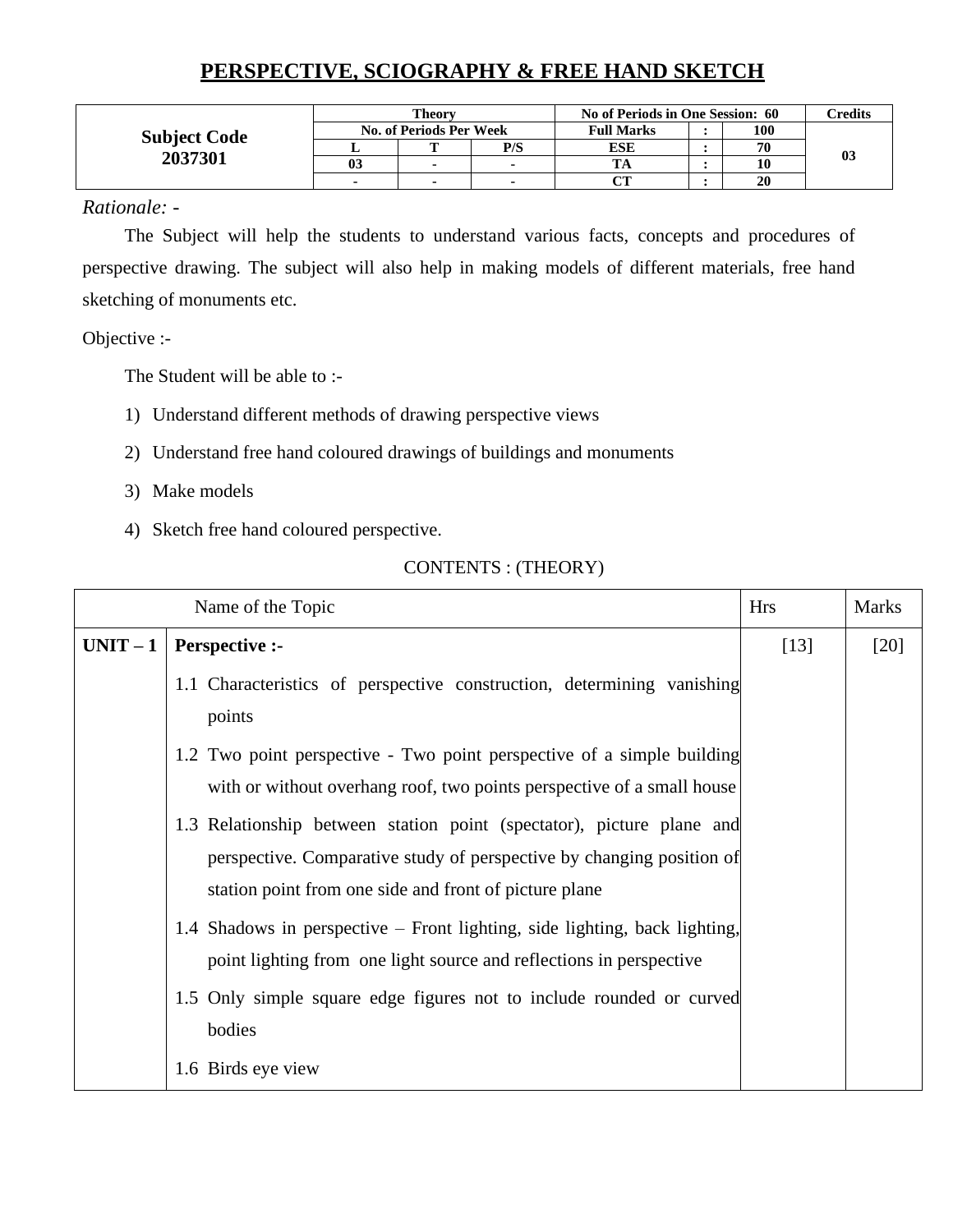# **PERSPECTIVE, SCIOGRAPHY & FREE HAND SKETCH**

|                     |    | <b>Theory</b>                  |     | No of Periods in One Session: 60 | Credits |    |
|---------------------|----|--------------------------------|-----|----------------------------------|---------|----|
| <b>Subject Code</b> |    | <b>No. of Periods Per Week</b> |     | <b>Full Marks</b>                | 100     |    |
| 2037301             |    | m                              | P/S | <b>ESE</b>                       | 70      |    |
|                     | 03 |                                |     |                                  |         | 03 |
|                     |    |                                |     | $\alpha$ tr                      | 20      |    |

#### *Rationale: -*

The Subject will help the students to understand various facts, concepts and procedures of perspective drawing. The subject will also help in making models of different materials, free hand sketching of monuments etc.

#### Objective :-

The Student will be able to :-

- 1) Understand different methods of drawing perspective views
- 2) Understand free hand coloured drawings of buildings and monuments
- 3) Make models
- 4) Sketch free hand coloured perspective.

|          | Name of the Topic                                                                                                                                                                                        | <b>Hrs</b> | <b>Marks</b> |
|----------|----------------------------------------------------------------------------------------------------------------------------------------------------------------------------------------------------------|------------|--------------|
| $UNIT-1$ | <b>Perspective :-</b>                                                                                                                                                                                    | $[13]$     | $[20]$       |
|          | 1.1 Characteristics of perspective construction, determining vanishing<br>points                                                                                                                         |            |              |
|          | 1.2 Two point perspective - Two point perspective of a simple building<br>with or without overhang roof, two points perspective of a small house                                                         |            |              |
|          | 1.3 Relationship between station point (spectator), picture plane and<br>perspective. Comparative study of perspective by changing position of<br>station point from one side and front of picture plane |            |              |
|          | 1.4 Shadows in perspective – Front lighting, side lighting, back lighting,<br>point lighting from one light source and reflections in perspective                                                        |            |              |
|          | 1.5 Only simple square edge figures not to include rounded or curved<br>bodies                                                                                                                           |            |              |
|          | 1.6 Birds eye view                                                                                                                                                                                       |            |              |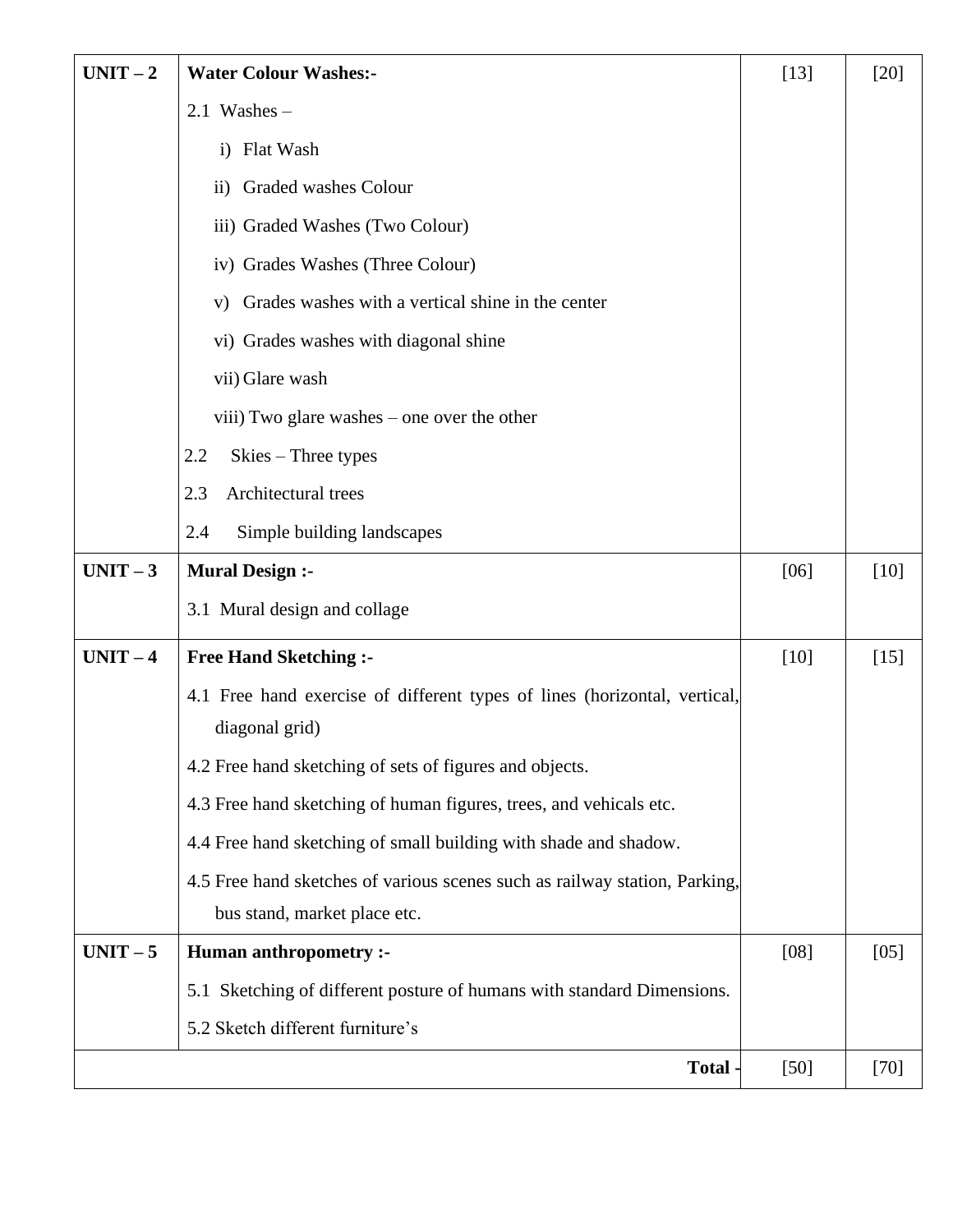| $UNIT-2$ | <b>Water Colour Washes:-</b>                                               | $[13]$ | $[20]$ |
|----------|----------------------------------------------------------------------------|--------|--------|
|          | $2.1$ Washes -                                                             |        |        |
|          | <b>Flat Wash</b><br>$\mathbf{i}$                                           |        |        |
|          | Graded washes Colour<br>$\rm ii)$                                          |        |        |
|          | iii) Graded Washes (Two Colour)                                            |        |        |
|          | iv) Grades Washes (Three Colour)                                           |        |        |
|          | Grades washes with a vertical shine in the center<br>V)                    |        |        |
|          | vi) Grades washes with diagonal shine                                      |        |        |
|          | vii) Glare wash                                                            |        |        |
|          | viii) Two glare washes – one over the other                                |        |        |
|          | 2.2<br>Skies – Three types                                                 |        |        |
|          | Architectural trees<br>2.3                                                 |        |        |
|          | 2.4<br>Simple building landscapes                                          |        |        |
| $UNIT-3$ | <b>Mural Design :-</b>                                                     | [06]   | $[10]$ |
|          | 3.1 Mural design and collage                                               |        |        |
| $UNIT-4$ | <b>Free Hand Sketching:-</b>                                               | $[10]$ | $[15]$ |
|          | 4.1 Free hand exercise of different types of lines (horizontal, vertical,  |        |        |
|          | diagonal grid)                                                             |        |        |
|          | 4.2 Free hand sketching of sets of figures and objects.                    |        |        |
|          | 4.3 Free hand sketching of human figures, trees, and vehicals etc.         |        |        |
|          | 4.4 Free hand sketching of small building with shade and shadow.           |        |        |
|          | 4.5 Free hand sketches of various scenes such as railway station, Parking, |        |        |
|          | bus stand, market place etc.                                               |        |        |
| $UNIT-5$ | <b>Human anthropometry :-</b>                                              | [08]   | [05]   |
|          | 5.1 Sketching of different posture of humans with standard Dimensions.     |        |        |
|          | 5.2 Sketch different furniture's                                           |        |        |
|          | Total -                                                                    | $[50]$ | $[70]$ |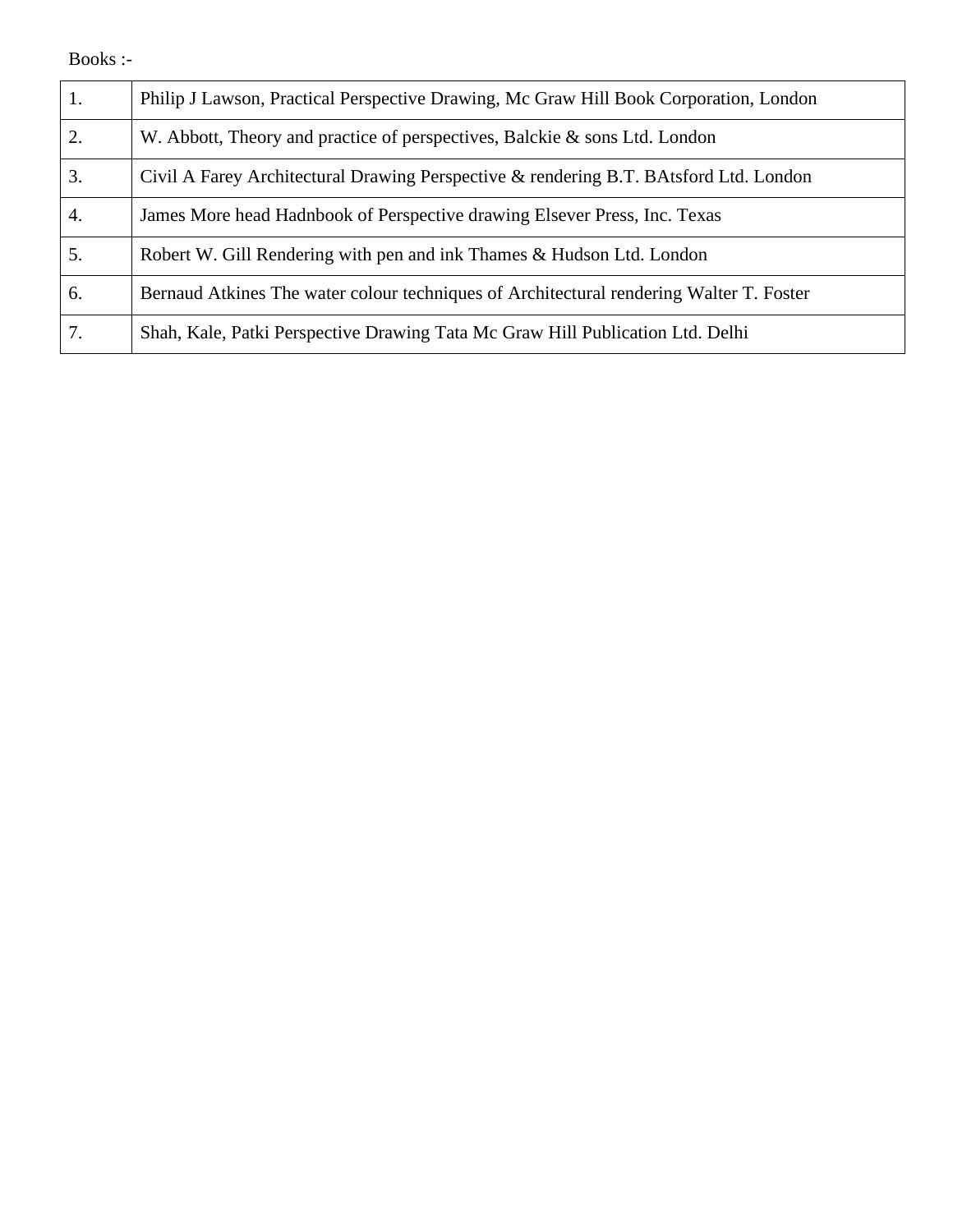### Books :-

| 1. | Philip J Lawson, Practical Perspective Drawing, Mc Graw Hill Book Corporation, London   |
|----|-----------------------------------------------------------------------------------------|
| 2. | W. Abbott, Theory and practice of perspectives, Balckie & sons Ltd. London              |
| 3. | Civil A Farey Architectural Drawing Perspective & rendering B.T. BAtsford Ltd. London   |
| 4. | James More head Hadnbook of Perspective drawing Elsever Press, Inc. Texas               |
| 5. | Robert W. Gill Rendering with pen and ink Thames & Hudson Ltd. London                   |
| 6. | Bernaud Atkines The water colour techniques of Architectural rendering Walter T. Foster |
| 7. | Shah, Kale, Patki Perspective Drawing Tata Mc Graw Hill Publication Ltd. Delhi          |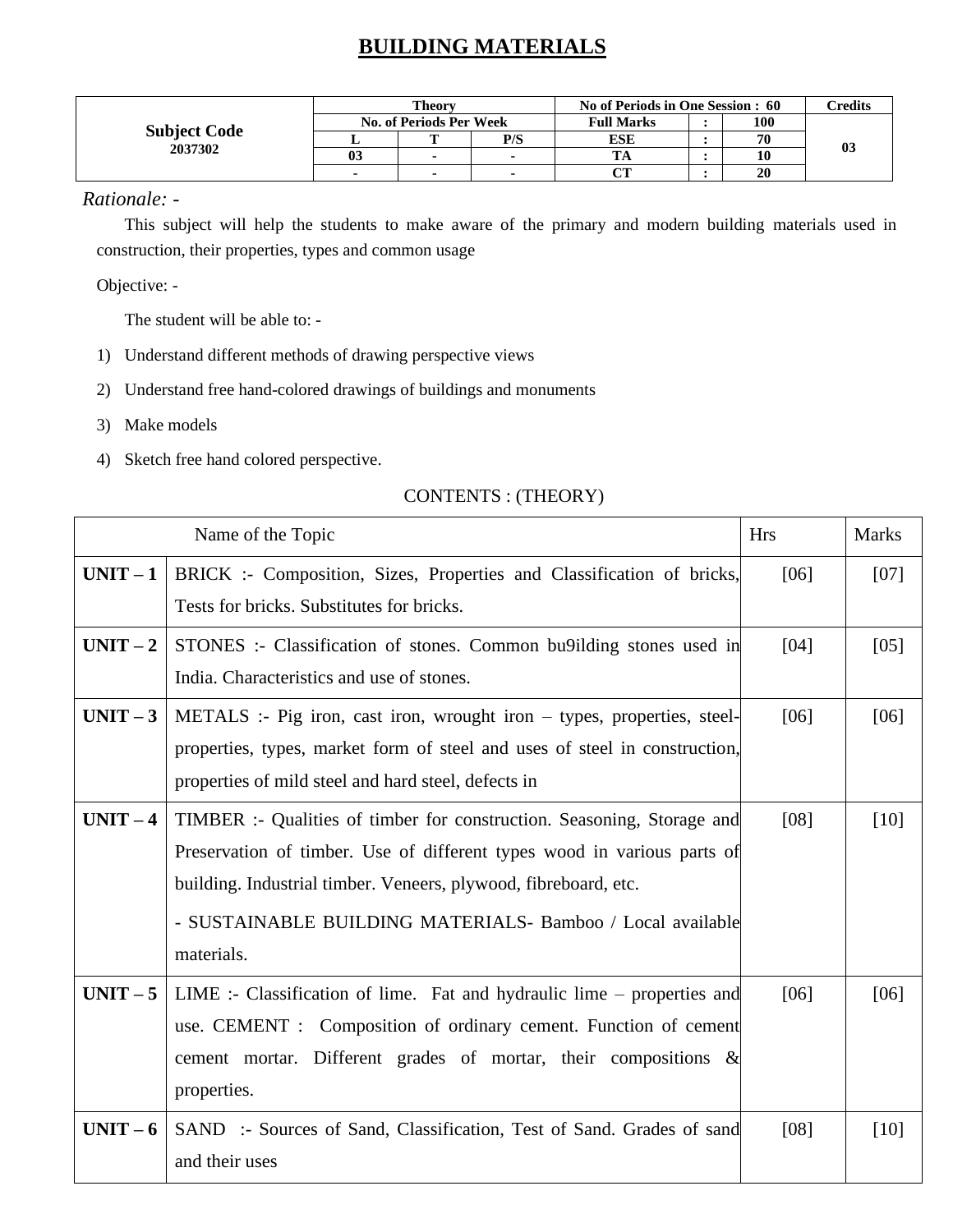# **BUILDING MATERIALS**

|                                |    | <b>Theory</b>                  |     | No of Periods in One Session : 60 | Credits |                |
|--------------------------------|----|--------------------------------|-----|-----------------------------------|---------|----------------|
|                                |    | <b>No. of Periods Per Week</b> |     | <b>Full Marks</b>                 | 100     |                |
| <b>Subject Code</b><br>2037302 |    | m                              | P/S | <b>ESE</b>                        | 70      | 0 <sup>3</sup> |
|                                | 03 |                                |     |                                   | 10      |                |
|                                |    |                                |     | $\alpha$ tt                       | 20      |                |

#### *Rationale: -*

This subject will help the students to make aware of the primary and modern building materials used in construction, their properties, types and common usage

Objective: -

The student will be able to: -

- 1) Understand different methods of drawing perspective views
- 2) Understand free hand-colored drawings of buildings and monuments
- 3) Make models
- 4) Sketch free hand colored perspective.

|          | Name of the Topic                                                          | <b>Hrs</b> | <b>Marks</b> |
|----------|----------------------------------------------------------------------------|------------|--------------|
| $UNIT-1$ | BRICK :- Composition, Sizes, Properties and Classification of bricks,      | [06]       | [07]         |
|          | Tests for bricks. Substitutes for bricks.                                  |            |              |
| $UNIT-2$ | STONES :- Classification of stones. Common bu9ilding stones used in        | [04]       | [05]         |
|          | India. Characteristics and use of stones.                                  |            |              |
| $UNIT-3$ | METALS :- Pig iron, cast iron, wrought iron $-$ types, properties, steel-  | [06]       | [06]         |
|          | properties, types, market form of steel and uses of steel in construction, |            |              |
|          | properties of mild steel and hard steel, defects in                        |            |              |
| $UNIT-4$ | TIMBER :- Qualities of timber for construction. Seasoning, Storage and     | [08]       | [10]         |
|          | Preservation of timber. Use of different types wood in various parts of    |            |              |
|          | building. Industrial timber. Veneers, plywood, fibreboard, etc.            |            |              |
|          | - SUSTAINABLE BUILDING MATERIALS - Bamboo / Local available                |            |              |
|          | materials.                                                                 |            |              |
| $UNIT-5$ | LIME :- Classification of lime. Fat and hydraulic lime $-$ properties and  | [06]       | [06]         |
|          | use. CEMENT : Composition of ordinary cement. Function of cement           |            |              |
|          | cement mortar. Different grades of mortar, their compositions $\&$         |            |              |
|          | properties.                                                                |            |              |
| $UNIT-6$ | SAND :- Sources of Sand, Classification, Test of Sand. Grades of sand      | [08]       | [10]         |
|          | and their uses                                                             |            |              |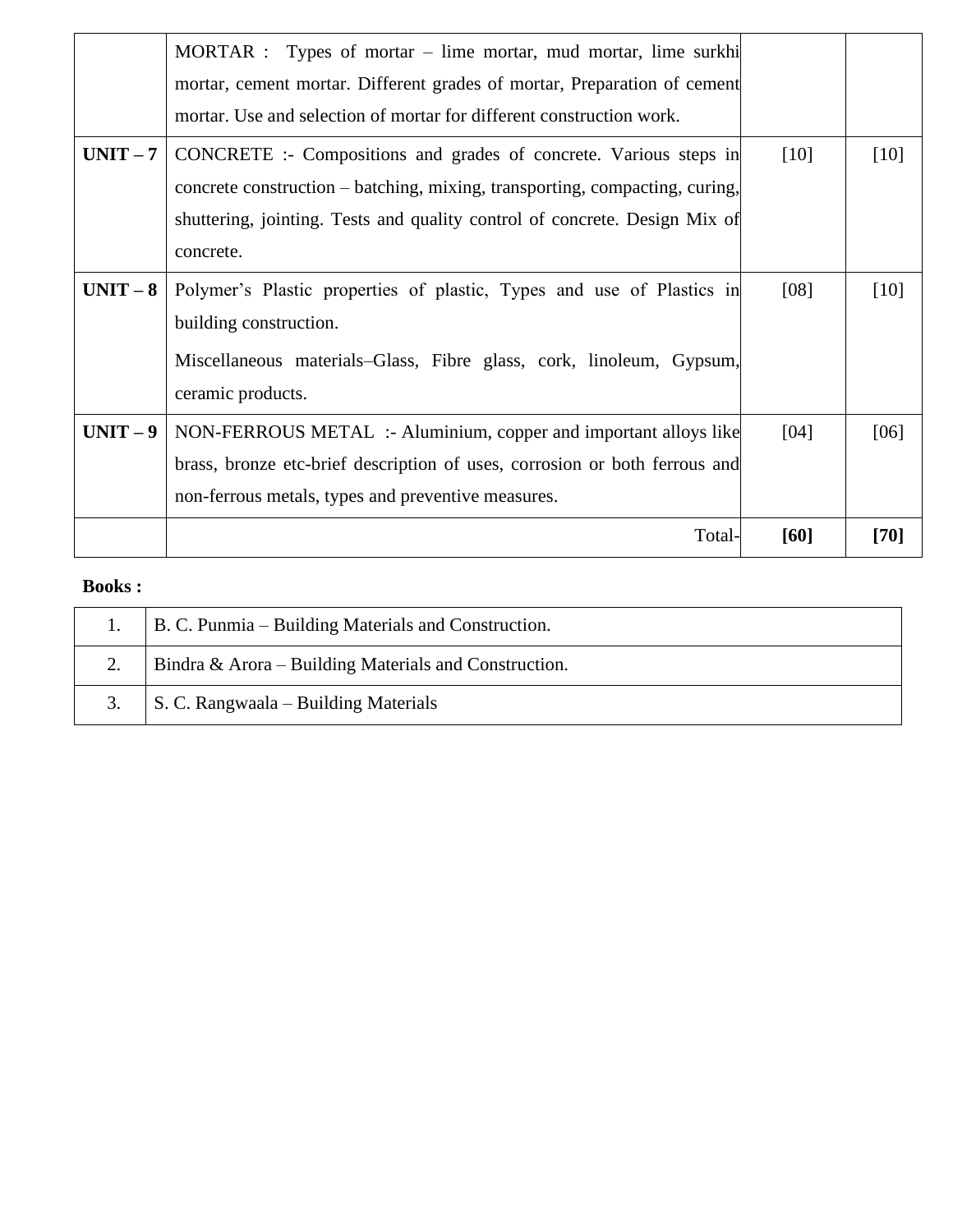|          | MORTAR : Types of mortar – lime mortar, mud mortar, lime surkhi<br>mortar, cement mortar. Different grades of mortar, Preparation of cement<br>mortar. Use and selection of mortar for different construction work.                         |        |        |
|----------|---------------------------------------------------------------------------------------------------------------------------------------------------------------------------------------------------------------------------------------------|--------|--------|
| $UNIT-7$ | CONCRETE :- Compositions and grades of concrete. Various steps in<br>concrete construction – batching, mixing, transporting, compacting, curing,<br>shuttering, jointing. Tests and quality control of concrete. Design Mix of<br>concrete. | $[10]$ | $[10]$ |
| $UNIT-8$ | Polymer's Plastic properties of plastic, Types and use of Plastics in<br>building construction.<br>Miscellaneous materials–Glass, Fibre glass, cork, linoleum, Gypsum,<br>ceramic products.                                                 | [08]   | [10]   |
| $UNIT-9$ | NON-FERROUS METAL :- Aluminium, copper and important alloys like<br>brass, bronze etc-brief description of uses, corrosion or both ferrous and<br>non-ferrous metals, types and preventive measures.                                        | [04]   | [06]   |
|          | Total-                                                                                                                                                                                                                                      | [60]   | $[70]$ |

### **Books :**

| B. C. Punmia – Building Materials and Construction.   |
|-------------------------------------------------------|
| Bindra & Arora – Building Materials and Construction. |
| S. C. Rangwaala – Building Materials                  |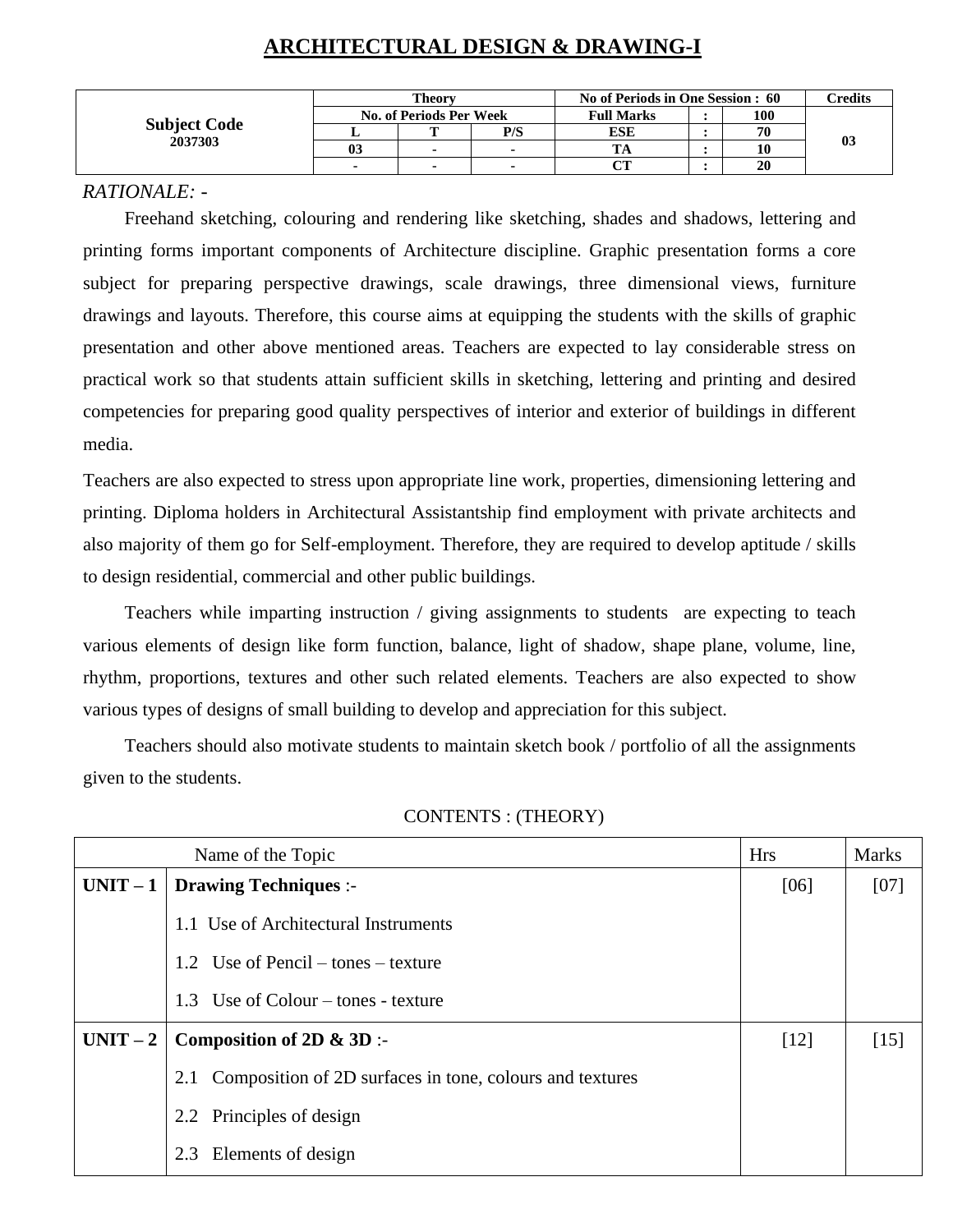|                     |    | Theory                         |     | No of Periods in One Session : 60 | Credits |    |
|---------------------|----|--------------------------------|-----|-----------------------------------|---------|----|
|                     |    | <b>No. of Periods Per Week</b> |     | <b>Full Marks</b>                 | 100     |    |
| <b>Subject Code</b> |    | m                              | P/S | ESE                               | 70      | 03 |
| 2037303             | U5 |                                |     |                                   |         |    |
|                     |    | $\blacksquare$                 |     | $\alpha$ tt<br>U 1                | 20      |    |

# **ARCHITECTURAL DESIGN & DRAWING-I**

#### *RATIONALE: -*

Freehand sketching, colouring and rendering like sketching, shades and shadows, lettering and printing forms important components of Architecture discipline. Graphic presentation forms a core subject for preparing perspective drawings, scale drawings, three dimensional views, furniture drawings and layouts. Therefore, this course aims at equipping the students with the skills of graphic presentation and other above mentioned areas. Teachers are expected to lay considerable stress on practical work so that students attain sufficient skills in sketching, lettering and printing and desired competencies for preparing good quality perspectives of interior and exterior of buildings in different media.

Teachers are also expected to stress upon appropriate line work, properties, dimensioning lettering and printing. Diploma holders in Architectural Assistantship find employment with private architects and also majority of them go for Self-employment. Therefore, they are required to develop aptitude / skills to design residential, commercial and other public buildings.

Teachers while imparting instruction / giving assignments to students are expecting to teach various elements of design like form function, balance, light of shadow, shape plane, volume, line, rhythm, proportions, textures and other such related elements. Teachers are also expected to show various types of designs of small building to develop and appreciation for this subject.

Teachers should also motivate students to maintain sketch book / portfolio of all the assignments given to the students.

|          | Name of the Topic                                               | <b>Hrs</b> | <b>Marks</b> |
|----------|-----------------------------------------------------------------|------------|--------------|
| $UNIT-1$ | <b>Drawing Techniques :-</b>                                    | [06]       | [07]         |
|          | 1.1 Use of Architectural Instruments                            |            |              |
|          | 1.2 Use of Pencil $-$ tones $-$ texture                         |            |              |
|          | Use of Colour – tones - texture<br>1.3                          |            |              |
| $UNIT-2$ | Composition of $2D \& 3D$ :-                                    | $[12]$     | $[15]$       |
|          | Composition of 2D surfaces in tone, colours and textures<br>2.1 |            |              |
|          | 2.2 Principles of design                                        |            |              |
|          | 2.3 Elements of design                                          |            |              |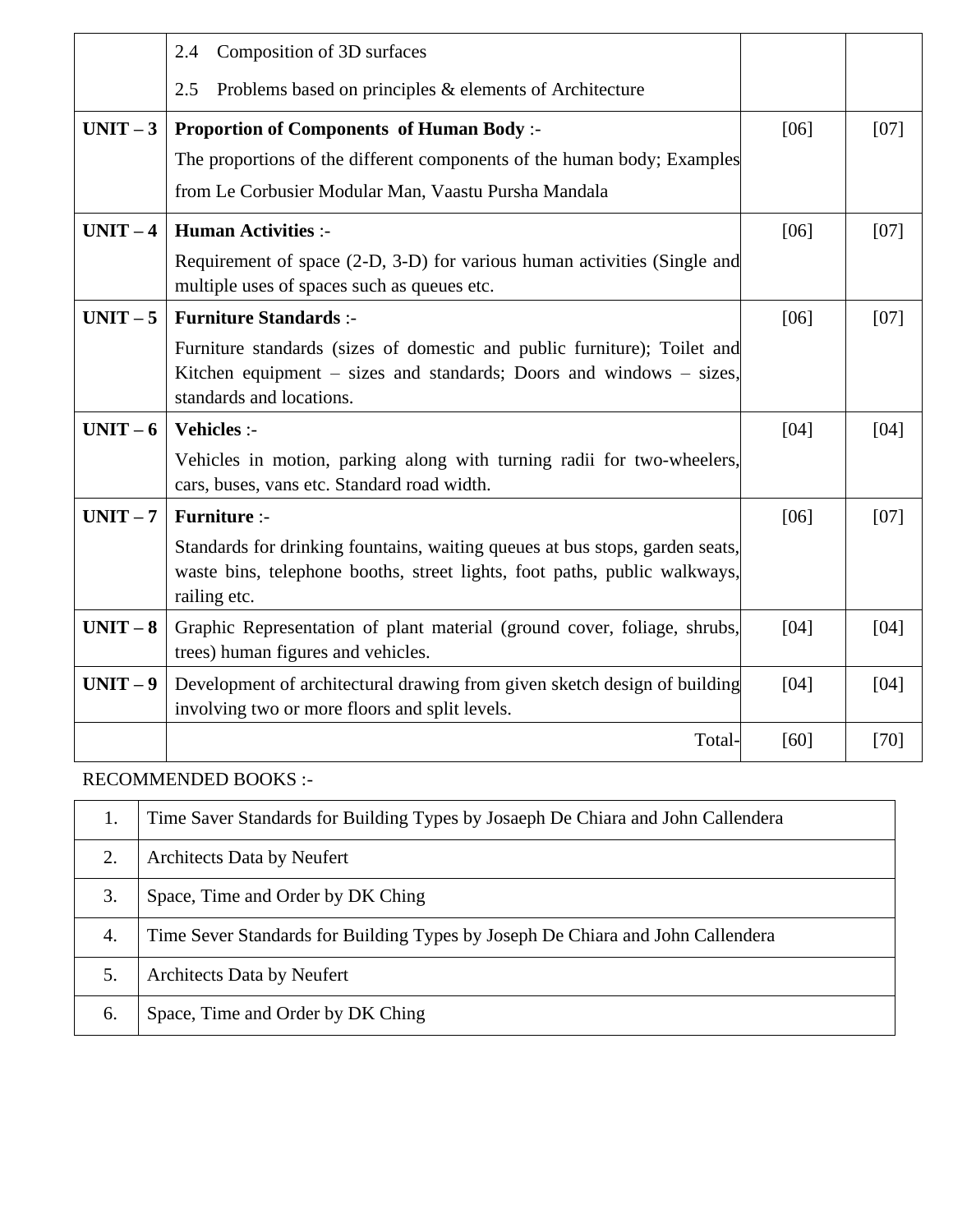|          | 2.4<br>Composition of 3D surfaces                                                                                                                                           |      |        |
|----------|-----------------------------------------------------------------------------------------------------------------------------------------------------------------------------|------|--------|
|          | Problems based on principles & elements of Architecture<br>2.5                                                                                                              |      |        |
| $UNIT-3$ | <b>Proportion of Components of Human Body:-</b>                                                                                                                             | [06] | $[07]$ |
|          | The proportions of the different components of the human body; Examples                                                                                                     |      |        |
|          | from Le Corbusier Modular Man, Vaastu Pursha Mandala                                                                                                                        |      |        |
| $UNIT-4$ | <b>Human Activities :-</b>                                                                                                                                                  | [06] | [07]   |
|          | Requirement of space (2-D, 3-D) for various human activities (Single and<br>multiple uses of spaces such as queues etc.                                                     |      |        |
| $UNIT-5$ | <b>Furniture Standards:-</b>                                                                                                                                                | [06] | [07]   |
|          | Furniture standards (sizes of domestic and public furniture); Toilet and<br>Kitchen equipment - sizes and standards; Doors and windows - sizes,<br>standards and locations. |      |        |
| $UNIT-6$ | Vehicles :-                                                                                                                                                                 | [04] | [04]   |
|          | Vehicles in motion, parking along with turning radii for two-wheelers,<br>cars, buses, vans etc. Standard road width.                                                       |      |        |
| $UNIT-7$ | <b>Furniture:-</b>                                                                                                                                                          | [06] | [07]   |
|          | Standards for drinking fountains, waiting queues at bus stops, garden seats,<br>waste bins, telephone booths, street lights, foot paths, public walkways,<br>railing etc.   |      |        |
| $UNIT-8$ | Graphic Representation of plant material (ground cover, foliage, shrubs,<br>trees) human figures and vehicles.                                                              | [04] | [04]   |
| $UNIT-9$ | Development of architectural drawing from given sketch design of building<br>involving two or more floors and split levels.                                                 | [04] | [04]   |
|          | Total-                                                                                                                                                                      | [60] | [70]   |

### RECOMMENDED BOOKS :-

|    | Time Saver Standards for Building Types by Josaeph De Chiara and John Callendera |  |
|----|----------------------------------------------------------------------------------|--|
| 2. | <b>Architects Data by Neufert</b>                                                |  |
| 3. | Space, Time and Order by DK Ching                                                |  |
| 4. | Time Sever Standards for Building Types by Joseph De Chiara and John Callendera  |  |
|    | <b>Architects Data by Neufert</b>                                                |  |
| 6. | Space, Time and Order by DK Ching                                                |  |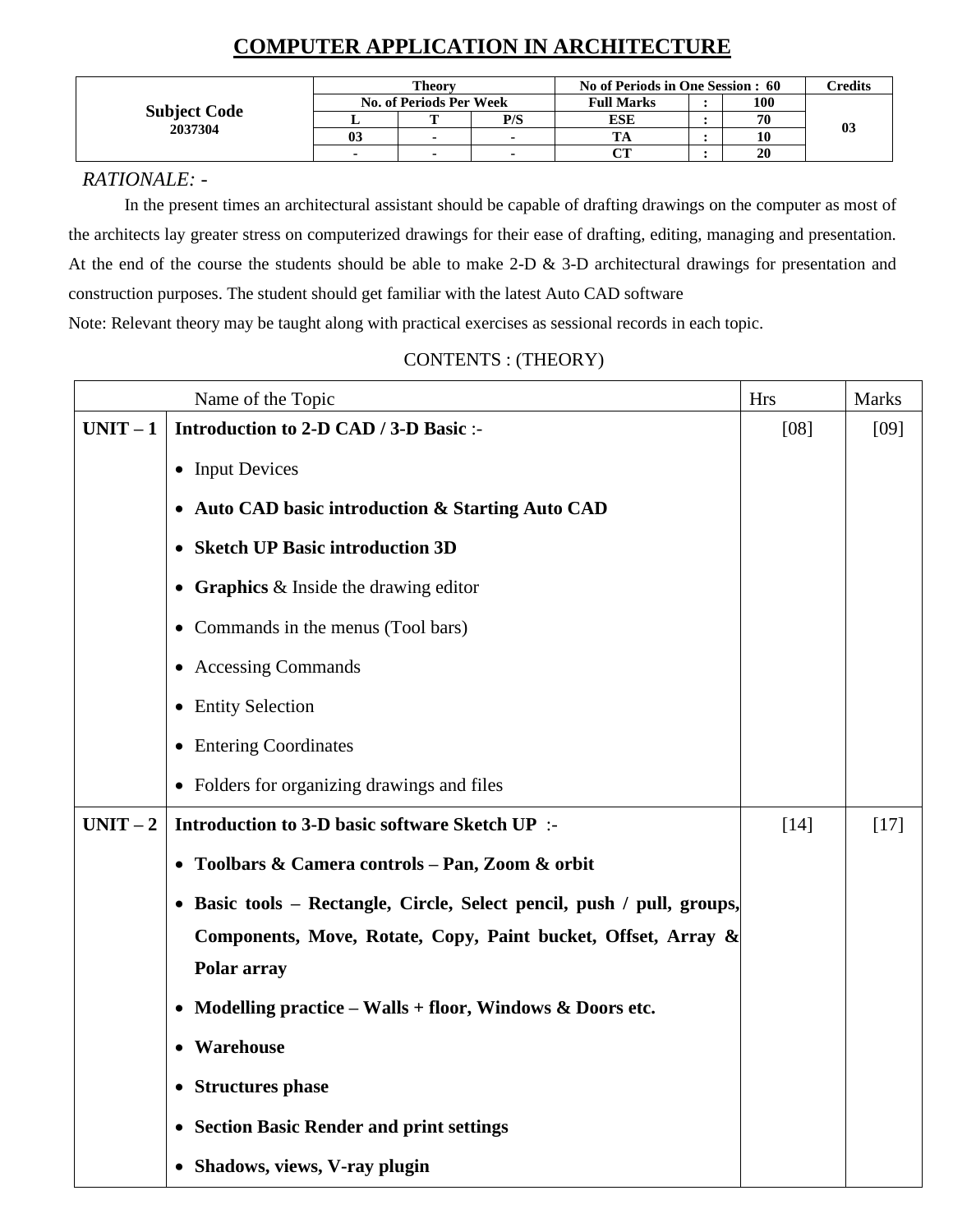# **COMPUTER APPLICATION IN ARCHITECTURE**

|                     | Theory |                                |                | No of Periods in One Session : 60 |  |     | Credits |
|---------------------|--------|--------------------------------|----------------|-----------------------------------|--|-----|---------|
|                     |        | <b>No. of Periods Per Week</b> |                | <b>Full Marks</b>                 |  | 100 |         |
| <b>Subject Code</b> |        |                                | P/S            | ESE                               |  | 70  |         |
| 2037304             | 03     | $\blacksquare$                 | $\blacksquare$ |                                   |  | 10  | -03     |
|                     |        | $\blacksquare$                 | $\blacksquare$ | <b>OUT</b>                        |  | 20  |         |

### *RATIONALE: -*

In the present times an architectural assistant should be capable of drafting drawings on the computer as most of the architects lay greater stress on computerized drawings for their ease of drafting, editing, managing and presentation. At the end of the course the students should be able to make 2-D & 3-D architectural drawings for presentation and construction purposes. The student should get familiar with the latest Auto CAD software Note: Relevant theory may be taught along with practical exercises as sessional records in each topic.

|          | Name of the Topic                                                      | <b>Hrs</b> | <b>Marks</b> |
|----------|------------------------------------------------------------------------|------------|--------------|
| $UNIT-1$ | Introduction to 2-D CAD / 3-D Basic :-                                 | $[08]$     | [09]         |
|          | • Input Devices                                                        |            |              |
|          | • Auto CAD basic introduction & Starting Auto CAD                      |            |              |
|          | <b>Sketch UP Basic introduction 3D</b><br>$\bullet$                    |            |              |
|          | • Graphics $&$ Inside the drawing editor                               |            |              |
|          | • Commands in the menus (Tool bars)                                    |            |              |
|          | • Accessing Commands                                                   |            |              |
|          | • Entity Selection                                                     |            |              |
|          | • Entering Coordinates                                                 |            |              |
|          | • Folders for organizing drawings and files                            |            |              |
| $UNIT-2$ | Introduction to 3-D basic software Sketch UP :-                        | $[14]$     | $[17]$       |
|          | Toolbars & Camera controls - Pan, Zoom & orbit<br>$\bullet$            |            |              |
|          | • Basic tools – Rectangle, Circle, Select pencil, push / pull, groups, |            |              |
|          | Components, Move, Rotate, Copy, Paint bucket, Offset, Array &          |            |              |
|          | Polar array                                                            |            |              |
|          | • Modelling practice – Walls + floor, Windows & Doors etc.             |            |              |
|          | Warehouse<br>$\bullet$                                                 |            |              |
|          | <b>Structures phase</b><br>$\bullet$                                   |            |              |
|          | <b>Section Basic Render and print settings</b><br>$\bullet$            |            |              |
|          | • Shadows, views, V-ray plugin                                         |            |              |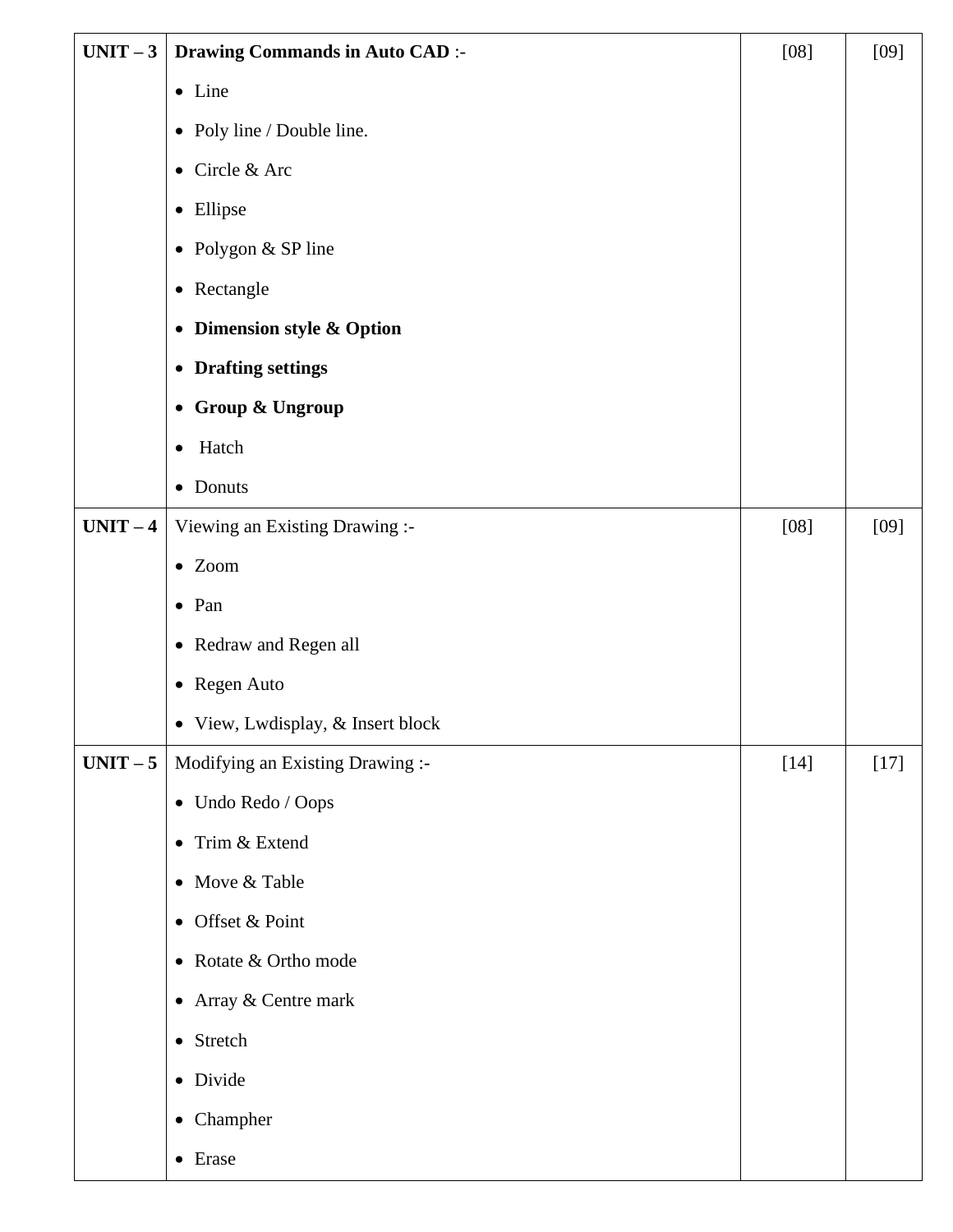| $UNIT-3$ | <b>Drawing Commands in Auto CAD :-</b> | $[08]$ | $[09]$ |
|----------|----------------------------------------|--------|--------|
|          | • Line                                 |        |        |
|          | • Poly line / Double line.             |        |        |
|          | Circle & Arc<br>$\bullet$              |        |        |
|          | Ellipse<br>$\bullet$                   |        |        |
|          | Polygon & SP line<br>$\bullet$         |        |        |
|          | Rectangle<br>$\bullet$                 |        |        |
|          | Dimension style & Option<br>$\bullet$  |        |        |
|          | • Drafting settings                    |        |        |
|          | • Group & Ungroup                      |        |        |
|          | Hatch<br>$\bullet$                     |        |        |
|          | Donuts<br>$\bullet$                    |        |        |
| $UNIT-4$ | Viewing an Existing Drawing :-         | $[08]$ | $[09]$ |
|          | $\bullet$ Zoom                         |        |        |
|          | $\bullet$ Pan                          |        |        |
|          | • Redraw and Regen all                 |        |        |
|          | • Regen Auto                           |        |        |
|          | • View, Lwdisplay, & Insert block      |        |        |
| $UNIT-5$ | Modifying an Existing Drawing :-       | $[14]$ | $[17]$ |
|          | • Undo Redo / Oops                     |        |        |
|          | Trim & Extend<br>$\bullet$             |        |        |
|          | Move & Table<br>$\bullet$              |        |        |
|          | Offset & Point<br>$\bullet$            |        |        |
|          | • Rotate & Ortho mode                  |        |        |
|          | • Array & Centre mark                  |        |        |
|          | Stretch<br>$\bullet$                   |        |        |
|          | • Divide                               |        |        |
|          | Champher<br>$\bullet$                  |        |        |
|          | Erase<br>$\bullet$                     |        |        |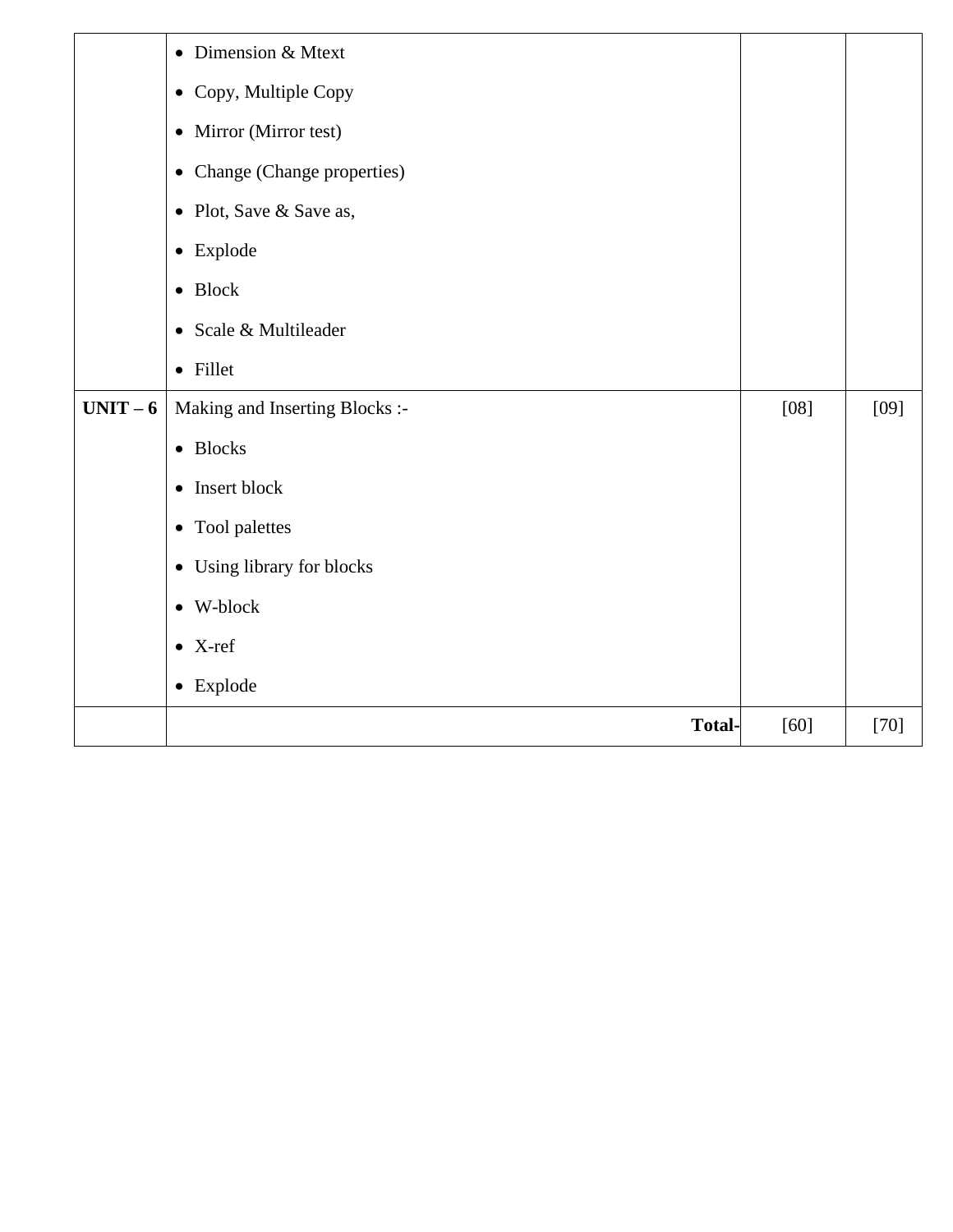|          | • Dimension & Mtext            |        |        |
|----------|--------------------------------|--------|--------|
|          | • Copy, Multiple Copy          |        |        |
|          | • Mirror (Mirror test)         |        |        |
|          | • Change (Change properties)   |        |        |
|          | • Plot, Save & Save as,        |        |        |
|          | • Explode                      |        |        |
|          | $\bullet$ Block                |        |        |
|          | • Scale & Multileader          |        |        |
|          | • Fillet                       |        |        |
| $UNIT-6$ | Making and Inserting Blocks :- | $[08]$ | $[09]$ |
|          | <b>Blocks</b><br>$\bullet$     |        |        |
|          | Insert block<br>$\bullet$      |        |        |
|          | • Tool palettes                |        |        |
|          | • Using library for blocks     |        |        |
|          | $\bullet\,$ W-block            |        |        |
|          | $\bullet$ X-ref                |        |        |
|          | $\bullet$ Explode              |        |        |
|          | <b>Total-</b>                  | $[60]$ | $[70]$ |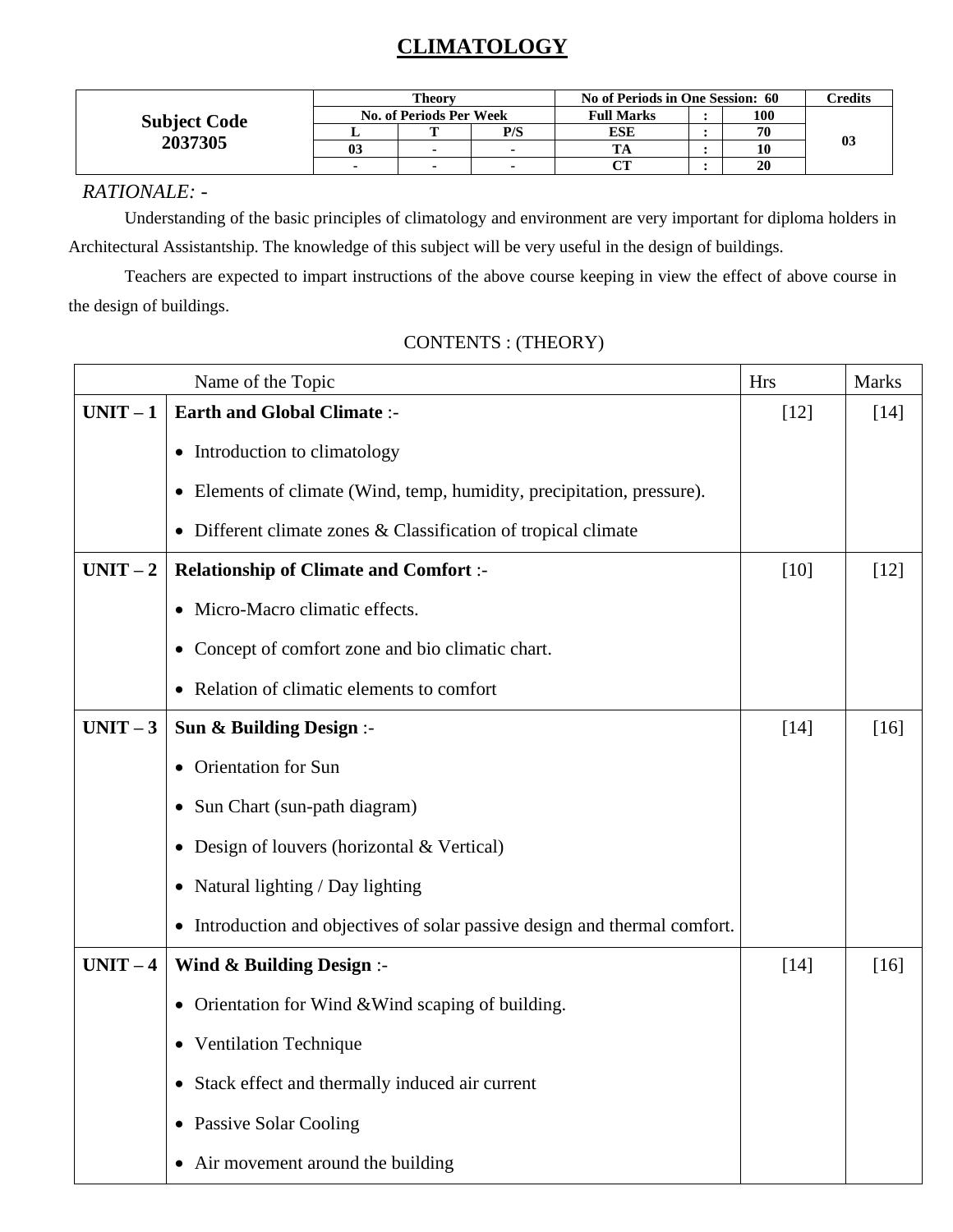# **CLIMATOLOGY**

|                     | <b>Theory</b>                  |   |     | No of Periods in One Session: 60 |  |     | <b>Credits</b> |
|---------------------|--------------------------------|---|-----|----------------------------------|--|-----|----------------|
| <b>Subject Code</b> | <b>No. of Periods Per Week</b> |   |     | <b>Full Marks</b>                |  | 100 |                |
|                     |                                |   | P/S | ESE                              |  | 70  |                |
| 2037305             | UJ                             | - | -   |                                  |  | 10  | 03             |
|                     |                                |   |     | $\alpha$                         |  | 20  |                |

# *RATIONALE: -*

Understanding of the basic principles of climatology and environment are very important for diploma holders in Architectural Assistantship. The knowledge of this subject will be very useful in the design of buildings.

Teachers are expected to impart instructions of the above course keeping in view the effect of above course in the design of buildings.

| Name of the Topic |                                                                                   | <b>Hrs</b> | <b>Marks</b> |
|-------------------|-----------------------------------------------------------------------------------|------------|--------------|
| $UNIT-1$          | <b>Earth and Global Climate :-</b>                                                | $[12]$     | $[14]$       |
|                   | • Introduction to climatology                                                     |            |              |
|                   | Elements of climate (Wind, temp, humidity, precipitation, pressure).<br>$\bullet$ |            |              |
|                   | Different climate zones & Classification of tropical climate                      |            |              |
| $UNIT-2$          | <b>Relationship of Climate and Comfort :-</b>                                     | $[10]$     | $[12]$       |
|                   | • Micro-Macro climatic effects.                                                   |            |              |
|                   | Concept of comfort zone and bio climatic chart.<br>$\bullet$                      |            |              |
|                   | Relation of climatic elements to comfort                                          |            |              |
| $UNIT-3$          | Sun & Building Design :-                                                          | $[14]$     | $[16]$       |
|                   | <b>Orientation</b> for Sun                                                        |            |              |
|                   | Sun Chart (sun-path diagram)<br>$\bullet$                                         |            |              |
|                   | • Design of louvers (horizontal & Vertical)                                       |            |              |
|                   | Natural lighting / Day lighting<br>$\bullet$                                      |            |              |
|                   | • Introduction and objectives of solar passive design and thermal comfort.        |            |              |
| $UNIT-4$          | Wind & Building Design :-                                                         | $[14]$     | $[16]$       |
|                   | Orientation for Wind & Wind scaping of building.<br>$\bullet$                     |            |              |
|                   | • Ventilation Technique                                                           |            |              |
|                   | Stack effect and thermally induced air current<br>$\bullet$                       |            |              |
|                   | <b>Passive Solar Cooling</b><br>$\bullet$                                         |            |              |
|                   | Air movement around the building                                                  |            |              |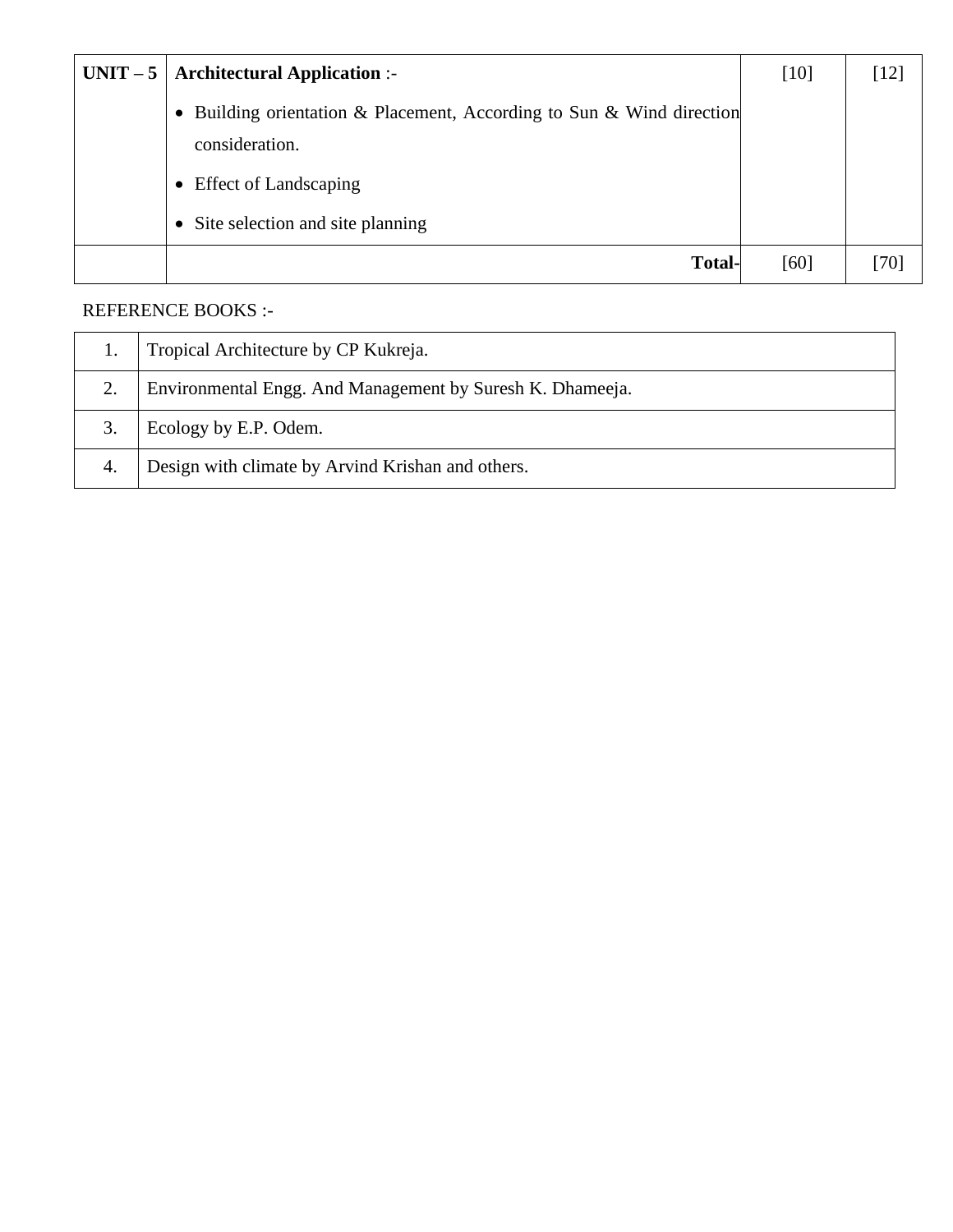| $UNIT-5$ | <b>Architectural Application :-</b>                                                     | $[10]$ | [12] |
|----------|-----------------------------------------------------------------------------------------|--------|------|
|          | • Building orientation & Placement, According to Sun & Wind direction<br>consideration. |        |      |
|          | <b>Effect of Landscaping</b><br>$\bullet$                                               |        |      |
|          | • Site selection and site planning                                                      |        |      |
|          | <b>Total-</b>                                                                           | [60]   | 701  |

# REFERENCE BOOKS :-

|    | Tropical Architecture by CP Kukreja.                      |
|----|-----------------------------------------------------------|
|    | Environmental Engg. And Management by Suresh K. Dhameeja. |
|    | Ecology by E.P. Odem.                                     |
| 4. | Design with climate by Arvind Krishan and others.         |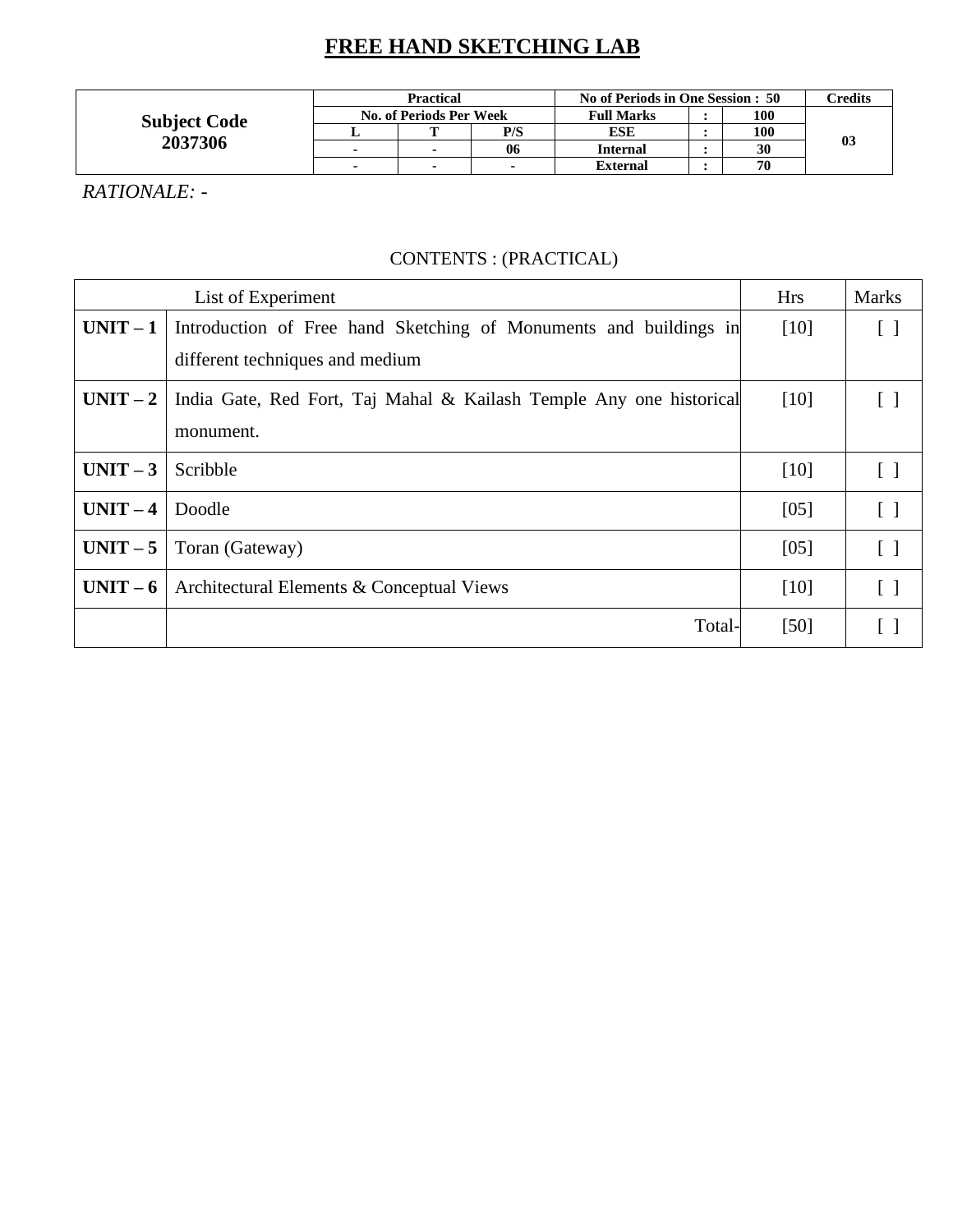# **FREE HAND SKETCHING LAB**

| <b>Subject Code</b> | <b>Practical</b> |                                |     | No of Periods in One Session : 50 | Credits |  |
|---------------------|------------------|--------------------------------|-----|-----------------------------------|---------|--|
|                     |                  | <b>No. of Periods Per Week</b> |     | <b>Full Marks</b>                 | 100     |  |
|                     |                  | m                              | P/S | ESE                               | 100     |  |
| 2037306             |                  |                                | 06  | <b>Internal</b>                   | 30      |  |
|                     |                  |                                |     | <b>External</b>                   | 70      |  |

*RATIONALE: -*

### CONTENTS : (PRACTICAL)

|          | List of Experiment                                                  | <b>Hrs</b> | <b>Marks</b>      |
|----------|---------------------------------------------------------------------|------------|-------------------|
| $UNIT-1$ | Introduction of Free hand Sketching of Monuments and buildings in   | $[10]$     | $\lceil$ $\rceil$ |
|          | different techniques and medium                                     |            |                   |
| $UNIT-2$ | India Gate, Red Fort, Taj Mahal & Kailash Temple Any one historical | $[10]$     |                   |
|          | monument.                                                           |            |                   |
| $UNIT-3$ | Scribble                                                            | $[10]$     | $\Box$            |
| $UNIT-4$ | Doodle                                                              | [05]       | $\lceil$ $\rceil$ |
| $UNIT-5$ | Toran (Gateway)                                                     | [05]       | $\lceil \rceil$   |
| $UNIT-6$ | Architectural Elements & Conceptual Views                           | $[10]$     | $\lceil \rceil$   |
|          | Total-                                                              | [50]       |                   |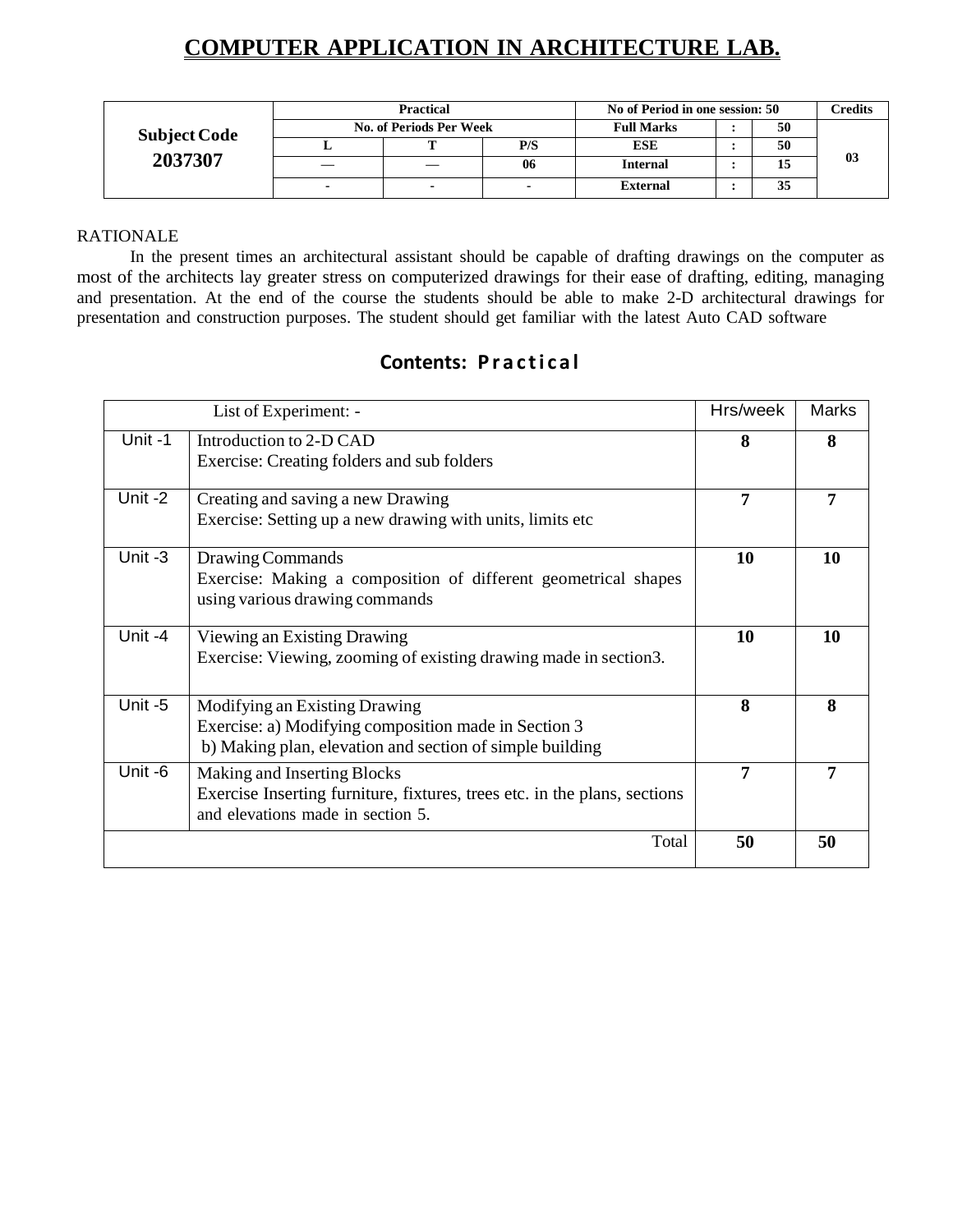# **COMPUTER APPLICATION IN ARCHITECTURE LAB.**

| <b>Subject Code</b><br>2037307 | <b>Practical</b> |                                |                          | No of Period in one session: 50 |    |    | C <b>redits</b> |
|--------------------------------|------------------|--------------------------------|--------------------------|---------------------------------|----|----|-----------------|
|                                |                  | <b>No. of Periods Per Week</b> | <b>Full Marks</b>        |                                 | 50 |    |                 |
|                                |                  |                                | P/S                      | <b>ESE</b>                      |    | 50 |                 |
|                                |                  |                                | 06                       | <b>Internal</b>                 |    |    | 03              |
|                                | -                |                                | $\overline{\phantom{a}}$ | <b>External</b>                 |    | IJ |                 |

#### RATIONALE

In the present times an architectural assistant should be capable of drafting drawings on the computer as most of the architects lay greater stress on computerized drawings for their ease of drafting, editing, managing and presentation. At the end of the course the students should be able to make 2-D architectural drawings for presentation and construction purposes. The student should get familiar with the latest Auto CAD software

### **Contents: Practical**

|         | List of Experiment: -                                                                                                                             | Hrs/week | Marks |
|---------|---------------------------------------------------------------------------------------------------------------------------------------------------|----------|-------|
| Unit-1  | Introduction to 2-D CAD<br>Exercise: Creating folders and sub folders                                                                             | 8        | 8     |
| Unit-2  | Creating and saving a new Drawing<br>Exercise: Setting up a new drawing with units, limits etc.                                                   | 7        |       |
| Unit -3 | Drawing Commands<br>Exercise: Making a composition of different geometrical shapes<br>using various drawing commands                              | 10       | 10    |
| Unit-4  | Viewing an Existing Drawing<br>Exercise: Viewing, zooming of existing drawing made in section 3.                                                  | 10       | 10    |
| Unit -5 | Modifying an Existing Drawing<br>Exercise: a) Modifying composition made in Section 3<br>b) Making plan, elevation and section of simple building | 8        | 8     |
| Unit -6 | Making and Inserting Blocks<br>Exercise Inserting furniture, fixtures, trees etc. in the plans, sections<br>and elevations made in section 5.     | 7        |       |
|         | Total                                                                                                                                             | 50       | 50    |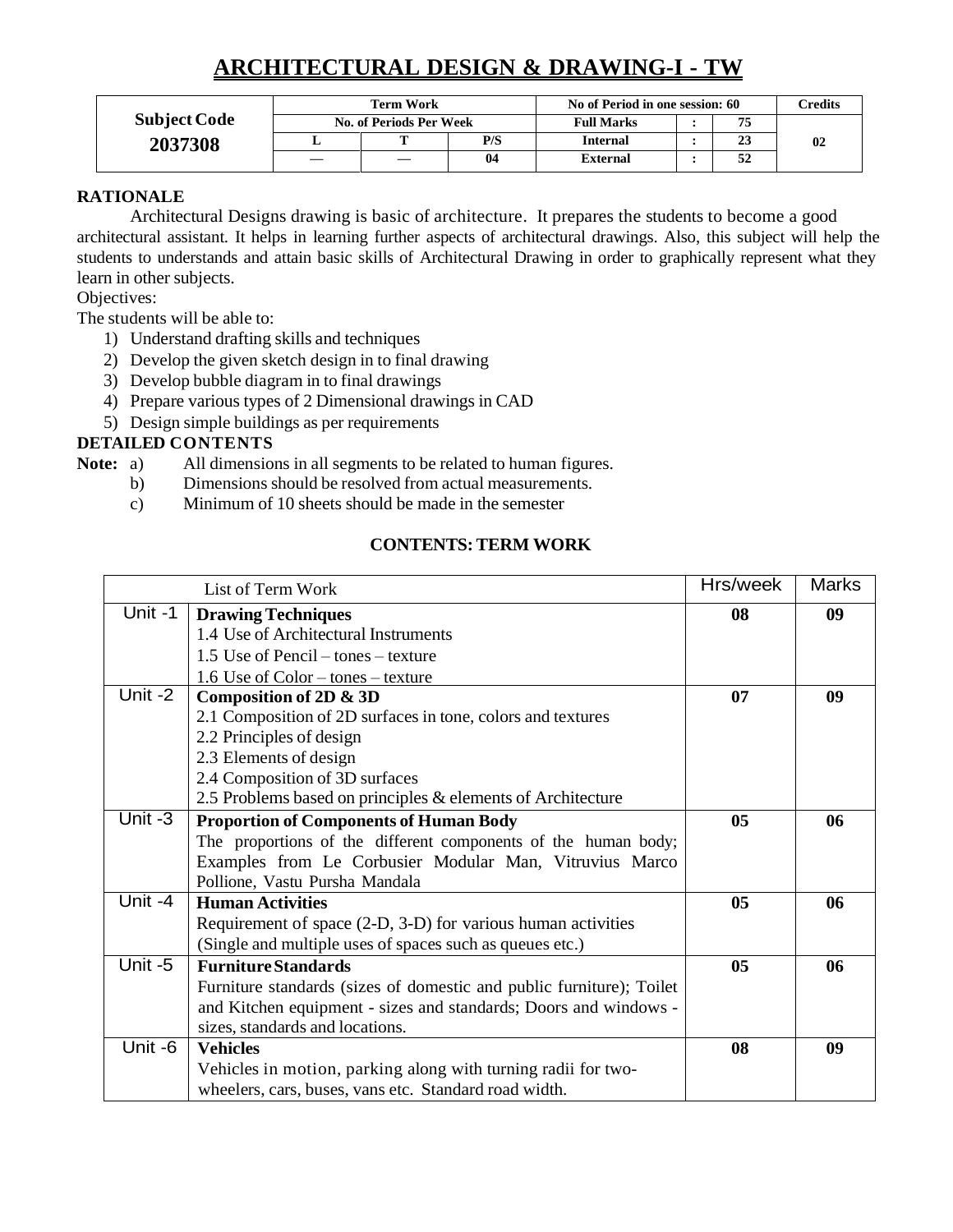# **ARCHITECTURAL DESIGN & DRAWING-I - TW**

|                     |                         | <b>Term Work</b> |     | No of Period in one session: 60 |  |    | Credits |
|---------------------|-------------------------|------------------|-----|---------------------------------|--|----|---------|
| <b>Subject Code</b> | No. of Periods Per Week |                  |     | <b>Full Marks</b>               |  |    |         |
| 2037308             | ≖                       |                  | P/S | <b>Internal</b>                 |  | 43 | 02      |
|                     |                         |                  | 04  | <b>External</b>                 |  | 34 |         |

#### **RATIONALE**

Architectural Designs drawing is basic of architecture. It prepares the students to become a good architectural assistant. It helps in learning further aspects of architectural drawings. Also, this subject will help the students to understands and attain basic skills of Architectural Drawing in order to graphically represent what they learn in other subjects.

Objectives:

The students will be able to:

- 1) Understand drafting skills and techniques
- 2) Develop the given sketch design in to final drawing
- 3) Develop bubble diagram in to final drawings
- 4) Prepare various types of 2 Dimensional drawings in CAD
- 5) Design simple buildings as per requirements

#### **DETAILED CONTENTS**

**Note:** a) All dimensions in all segments to be related to human figures.

- b) Dimensions should be resolved from actual measurements.
- c) Minimum of 10 sheets should be made in the semester

#### **CONTENTS:TERM WORK**

|                      | List of Term Work                                                    | Hrs/week       | <b>Marks</b> |
|----------------------|----------------------------------------------------------------------|----------------|--------------|
| Unit -1              | <b>Drawing Techniques</b>                                            | 08             | 09           |
|                      | 1.4 Use of Architectural Instruments                                 |                |              |
|                      | 1.5 Use of Pencil – tones – texture                                  |                |              |
|                      | 1.6 Use of $Color - tones - texture$                                 |                |              |
| Unit -2              | Composition of 2D & 3D                                               | 07             | 09           |
|                      | 2.1 Composition of 2D surfaces in tone, colors and textures          |                |              |
|                      | 2.2 Principles of design                                             |                |              |
|                      | 2.3 Elements of design                                               |                |              |
|                      | 2.4 Composition of 3D surfaces                                       |                |              |
|                      | 2.5 Problems based on principles & elements of Architecture          |                |              |
| $\overline{Unit}$ -3 | <b>Proportion of Components of Human Body</b>                        | 05             | 06           |
|                      | The proportions of the different components of the human body;       |                |              |
|                      | Examples from Le Corbusier Modular Man, Vitruvius Marco              |                |              |
|                      | Pollione, Vastu Pursha Mandala                                       |                |              |
| Unit -4              | <b>Human Activities</b>                                              | 05             | 06           |
|                      | Requirement of space (2-D, 3-D) for various human activities         |                |              |
|                      | (Single and multiple uses of spaces such as queues etc.)             |                |              |
| Unit-5               | <b>Furniture Standards</b>                                           | 0 <sub>5</sub> | 06           |
|                      | Furniture standards (sizes of domestic and public furniture); Toilet |                |              |
|                      | and Kitchen equipment - sizes and standards; Doors and windows -     |                |              |
|                      | sizes, standards and locations.                                      |                |              |
| Unit -6              | <b>Vehicles</b>                                                      | 08             | 09           |
|                      | Vehicles in motion, parking along with turning radii for two-        |                |              |
|                      | wheelers, cars, buses, vans etc. Standard road width.                |                |              |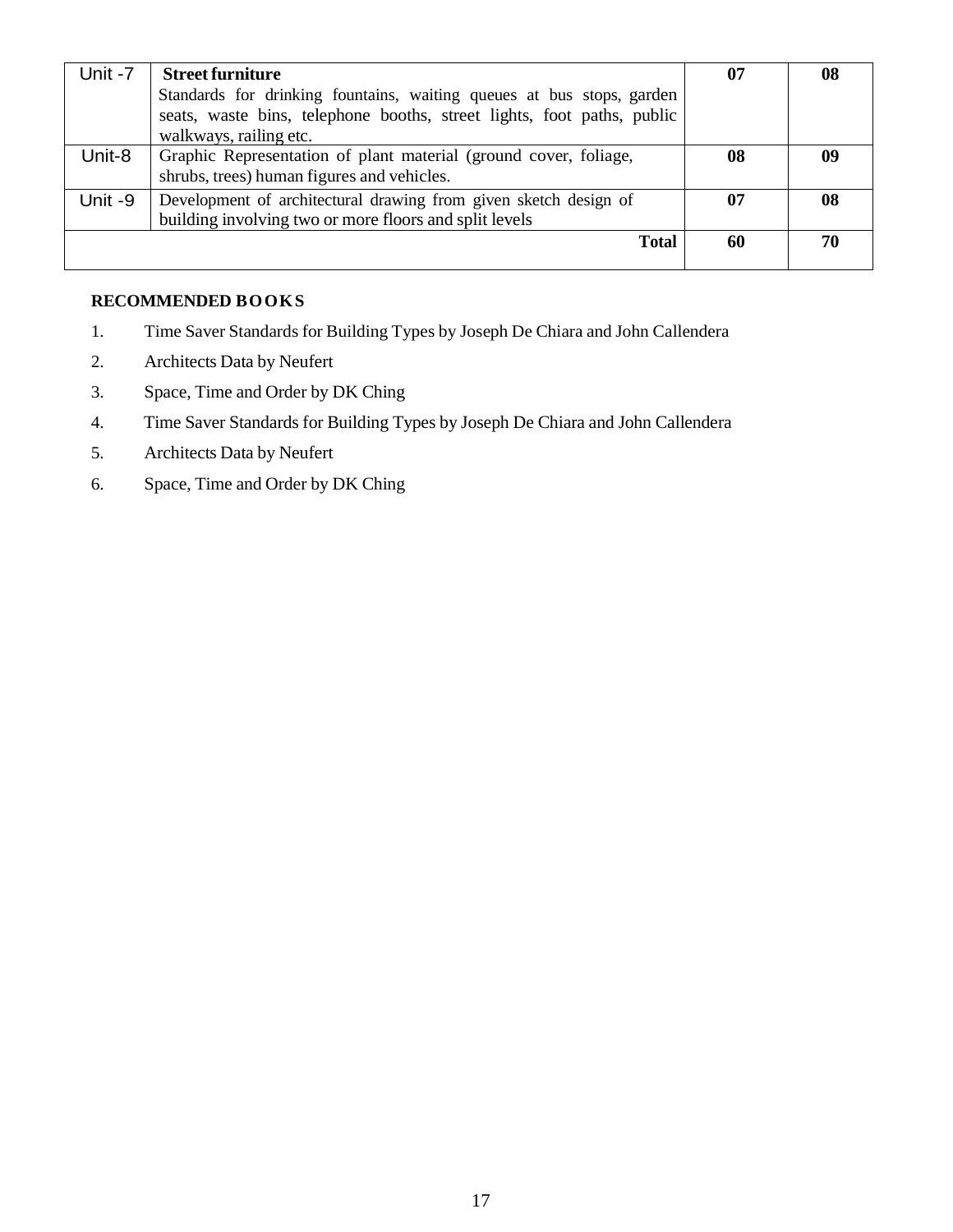| Unit -7 | <b>Street furniture</b><br>Standards for drinking fountains, waiting queues at bus stops, garden<br>seats, waste bins, telephone booths, street lights, foot paths, public<br>walkways, railing etc. | 07 | 08 |
|---------|------------------------------------------------------------------------------------------------------------------------------------------------------------------------------------------------------|----|----|
| Unit-8  | Graphic Representation of plant material (ground cover, foliage,<br>shrubs, trees) human figures and vehicles.                                                                                       | 08 | 09 |
| Unit -9 | Development of architectural drawing from given sketch design of<br>building involving two or more floors and split levels                                                                           | 07 | 08 |
|         | <b>Total</b>                                                                                                                                                                                         | 60 | 70 |

#### **RECOMMENDED BOOKS**

- 1. Time Saver Standards for Building Types by Joseph De Chiara and John Callendera
- 2. Architects Data by Neufert
- 3. Space, Time and Order by DK Ching
- 4. Time Saver Standards for Building Types by Joseph De Chiara and John Callendera
- 5. Architects Data by Neufert
- 6. Space, Time and Order by DK Ching